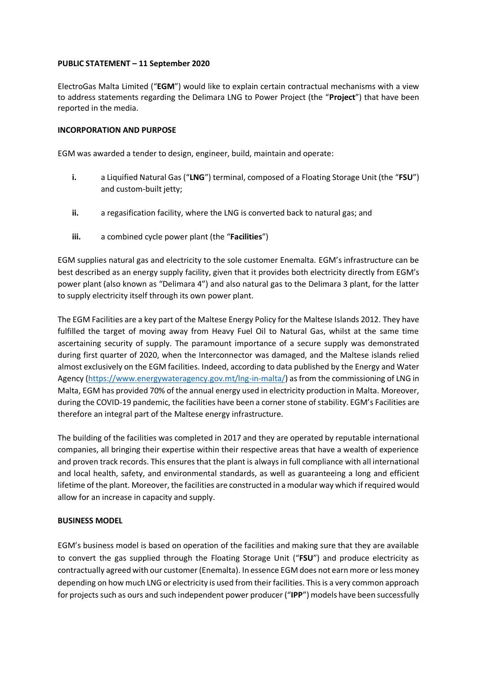### **PUBLIC STATEMENT – 11 September 2020**

ElectroGas Malta Limited ("**EGM**") would like to explain certain contractual mechanisms with a view to address statements regarding the Delimara LNG to Power Project (the "**Project**") that have been reported in the media.

### **INCORPORATION AND PURPOSE**

EGM was awarded a tender to design, engineer, build, maintain and operate:

- **i.** a Liquified Natural Gas ("**LNG**") terminal, composed of a Floating Storage Unit (the "**FSU**") and custom-built jetty;
- **ii.** a regasification facility, where the LNG is converted back to natural gas; and
- **iii.** a combined cycle power plant (the "**Facilities**")

EGM supplies natural gas and electricity to the sole customer Enemalta. EGM's infrastructure can be best described as an energy supply facility, given that it provides both electricity directly from EGM's power plant (also known as "Delimara 4") and also natural gas to the Delimara 3 plant, for the latter to supply electricity itself through its own power plant.

The EGM Facilities are a key part of the Maltese Energy Policy for the Maltese Islands 2012. They have fulfilled the target of moving away from Heavy Fuel Oil to Natural Gas, whilst at the same time ascertaining security of supply. The paramount importance of a secure supply was demonstrated during first quarter of 2020, when the Interconnector was damaged, and the Maltese islands relied almost exclusively on the EGM facilities. Indeed, according to data published by the Energy and Water Agency [\(https://www.energywateragency.gov.mt/lng-in-malta/\)](https://www.energywateragency.gov.mt/lng-in-malta/) as from the commissioning of LNG in Malta, EGM has provided 70% of the annual energy used in electricity production in Malta. Moreover, during the COVID-19 pandemic, the facilities have been a corner stone of stability. EGM's Facilities are therefore an integral part of the Maltese energy infrastructure.

The building of the facilities was completed in 2017 and they are operated by reputable international companies, all bringing their expertise within their respective areas that have a wealth of experience and proven track records. This ensures that the plant is always in full compliance with all international and local health, safety, and environmental standards, as well as guaranteeing a long and efficient lifetime of the plant. Moreover, the facilities are constructed in a modular way which if required would allow for an increase in capacity and supply.

## **BUSINESS MODEL**

EGM's business model is based on operation of the facilities and making sure that they are available to convert the gas supplied through the Floating Storage Unit ("**FSU**") and produce electricity as contractually agreed with our customer (Enemalta). In essence EGM does not earn more or less money depending on how much LNG or electricity is used from their facilities. This is a very common approach for projects such as ours and such independent power producer ("**IPP**") models have been successfully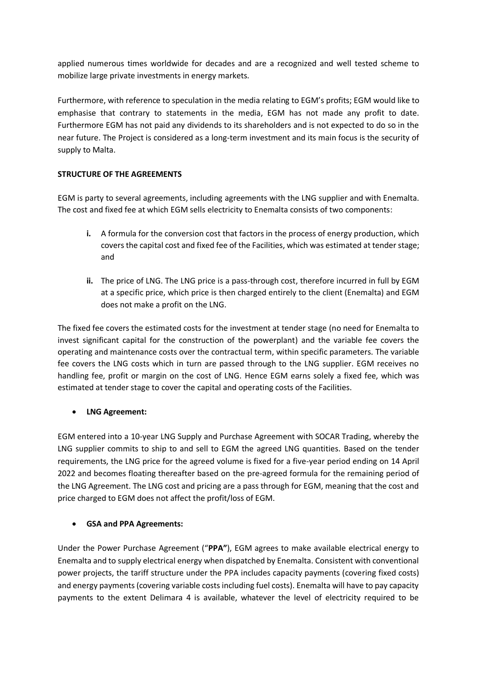applied numerous times worldwide for decades and are a recognized and well tested scheme to mobilize large private investments in energy markets.

Furthermore, with reference to speculation in the media relating to EGM's profits; EGM would like to emphasise that contrary to statements in the media, EGM has not made any profit to date. Furthermore EGM has not paid any dividends to its shareholders and is not expected to do so in the near future. The Project is considered as a long-term investment and its main focus is the security of supply to Malta.

## **STRUCTURE OF THE AGREEMENTS**

EGM is party to several agreements, including agreements with the LNG supplier and with Enemalta. The cost and fixed fee at which EGM sells electricity to Enemalta consists of two components:

- **i.** A formula for the conversion cost that factors in the process of energy production, which covers the capital cost and fixed fee of the Facilities, which was estimated at tender stage; and
- **ii.** The price of LNG. The LNG price is a pass-through cost, therefore incurred in full by EGM at a specific price, which price is then charged entirely to the client (Enemalta) and EGM does not make a profit on the LNG.

The fixed fee covers the estimated costs for the investment at tender stage (no need for Enemalta to invest significant capital for the construction of the powerplant) and the variable fee covers the operating and maintenance costs over the contractual term, within specific parameters. The variable fee covers the LNG costs which in turn are passed through to the LNG supplier. EGM receives no handling fee, profit or margin on the cost of LNG. Hence EGM earns solely a fixed fee, which was estimated at tender stage to cover the capital and operating costs of the Facilities.

# • **LNG Agreement:**

EGM entered into a 10-year LNG Supply and Purchase Agreement with SOCAR Trading, whereby the LNG supplier commits to ship to and sell to EGM the agreed LNG quantities. Based on the tender requirements, the LNG price for the agreed volume is fixed for a five-year period ending on 14 April 2022 and becomes floating thereafter based on the pre-agreed formula for the remaining period of the LNG Agreement. The LNG cost and pricing are a pass through for EGM, meaning that the cost and price charged to EGM does not affect the profit/loss of EGM.

## • **GSA and PPA Agreements:**

Under the Power Purchase Agreement ("**PPA"**), EGM agrees to make available electrical energy to Enemalta and to supply electrical energy when dispatched by Enemalta. Consistent with conventional power projects, the tariff structure under the PPA includes capacity payments (covering fixed costs) and energy payments (covering variable costs including fuel costs). Enemalta will have to pay capacity payments to the extent Delimara 4 is available, whatever the level of electricity required to be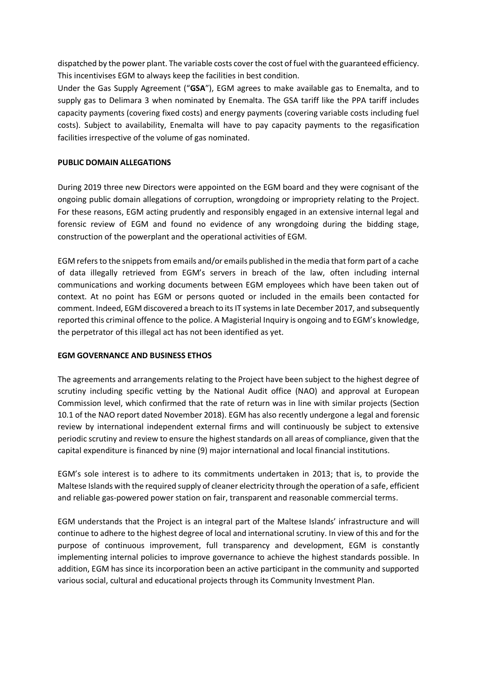dispatched by the power plant. The variable costs cover the cost of fuel with the guaranteed efficiency. This incentivises EGM to always keep the facilities in best condition.

Under the Gas Supply Agreement ("**GSA**"), EGM agrees to make available gas to Enemalta, and to supply gas to Delimara 3 when nominated by Enemalta. The GSA tariff like the PPA tariff includes capacity payments (covering fixed costs) and energy payments (covering variable costs including fuel costs). Subject to availability, Enemalta will have to pay capacity payments to the regasification facilities irrespective of the volume of gas nominated.

### **PUBLIC DOMAIN ALLEGATIONS**

During 2019 three new Directors were appointed on the EGM board and they were cognisant of the ongoing public domain allegations of corruption, wrongdoing or impropriety relating to the Project. For these reasons, EGM acting prudently and responsibly engaged in an extensive internal legal and forensic review of EGM and found no evidence of any wrongdoing during the bidding stage, construction of the powerplant and the operational activities of EGM.

EGM refers to the snippets from emails and/or emails published in the media that form part of a cache of data illegally retrieved from EGM's servers in breach of the law, often including internal communications and working documents between EGM employees which have been taken out of context. At no point has EGM or persons quoted or included in the emails been contacted for comment. Indeed, EGM discovered a breach to its IT systems in late December 2017, and subsequently reported this criminal offence to the police. A Magisterial Inquiry is ongoing and to EGM's knowledge, the perpetrator of this illegal act has not been identified as yet.

#### **EGM GOVERNANCE AND BUSINESS ETHOS**

The agreements and arrangements relating to the Project have been subject to the highest degree of scrutiny including specific vetting by the National Audit office (NAO) and approval at European Commission level, which confirmed that the rate of return was in line with similar projects (Section 10.1 of the NAO report dated November 2018). EGM has also recently undergone a legal and forensic review by international independent external firms and will continuously be subject to extensive periodic scrutiny and review to ensure the highest standards on all areas of compliance, given that the capital expenditure is financed by nine (9) major international and local financial institutions.

EGM's sole interest is to adhere to its commitments undertaken in 2013; that is, to provide the Maltese Islands with the required supply of cleaner electricity through the operation of a safe, efficient and reliable gas-powered power station on fair, transparent and reasonable commercial terms.

EGM understands that the Project is an integral part of the Maltese Islands' infrastructure and will continue to adhere to the highest degree of local and international scrutiny. In view of this and for the purpose of continuous improvement, full transparency and development, EGM is constantly implementing internal policies to improve governance to achieve the highest standards possible. In addition, EGM has since its incorporation been an active participant in the community and supported various social, cultural and educational projects through its Community Investment Plan.